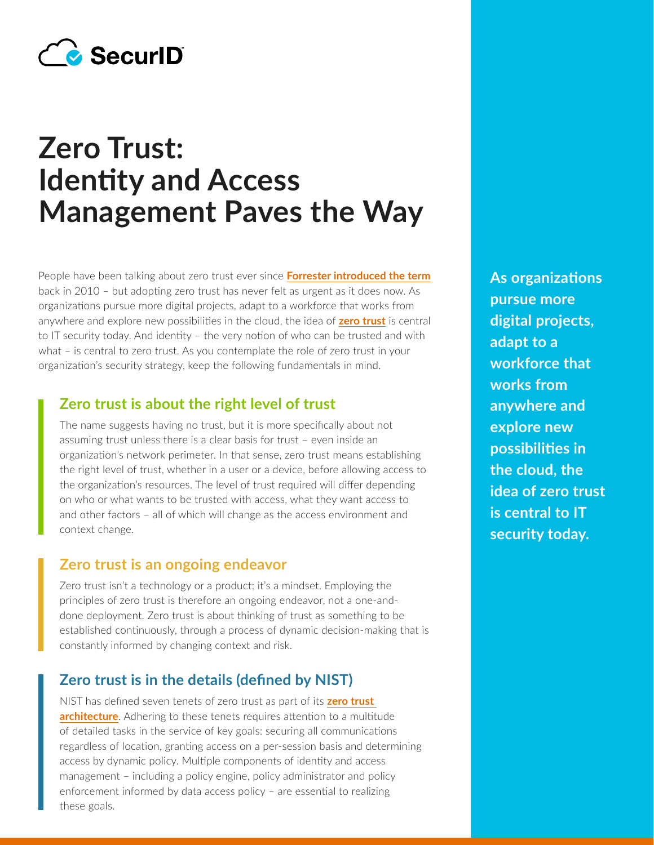

# **Zero Trust: Identity and Access Management Paves the Way**

People have been talking about zero trust ever since **[Forrester introduced the term](https://www.forrester.com/webinar/Zero+Trust+Network+Architecture/-/E-WEB6792)** back in 2010 – but adopting zero trust has never felt as urgent as it does now. As organizations pursue more digital projects, adapt to a workforce that works from anywhere and explore new possibilities in the cloud, the idea of **[zero trust](https://www.securid.com/en-us/blog/the-language-of-cybersecurity/what-is-zero-trust)** is central to IT security today. And identity – the very notion of who can be trusted and with what – is central to zero trust. As you contemplate the role of zero trust in your organization's security strategy, keep the following fundamentals in mind.

#### **Zero trust is about the right level of trust**

The name suggests having no trust, but it is more specifically about not assuming trust unless there is a clear basis for trust – even inside an organization's network perimeter. In that sense, zero trust means establishing the right level of trust, whether in a user or a device, before allowing access to the organization's resources. The level of trust required will differ depending on who or what wants to be trusted with access, what they want access to and other factors – all of which will change as the access environment and context change.

#### **Zero trust is an ongoing endeavor**

Zero trust isn't a technology or a product; it's a mindset. Employing the principles of zero trust is therefore an ongoing endeavor, not a one-anddone deployment. Zero trust is about thinking of trust as something to be established continuously, through a process of dynamic decision-making that is constantly informed by changing context and risk.

### **Zero trust is in the details (defined by NIST)**

NIST has defined seven tenets of zero trust as part of its **[zero trust](https://nvlpubs.nist.gov/nistpubs/SpecialPublications/NIST.SP.800-207.pdf)  [architecture](https://nvlpubs.nist.gov/nistpubs/SpecialPublications/NIST.SP.800-207.pdf)**. Adhering to these tenets requires attention to a multitude of detailed tasks in the service of key goals: securing all communications regardless of location, granting access on a per-session basis and determining access by dynamic policy. Multiple components of identity and access management – including a policy engine, policy administrator and policy enforcement informed by data access policy – are essential to realizing these goals.

**As organizations pursue more digital projects, adapt to a workforce that works from anywhere and explore new possibilities in the cloud, the idea of [zero trust](https://www.rsa.com/en-us/blog/the-language-of-cybersecurity/what-is-zero-trust) is central to IT security today.**